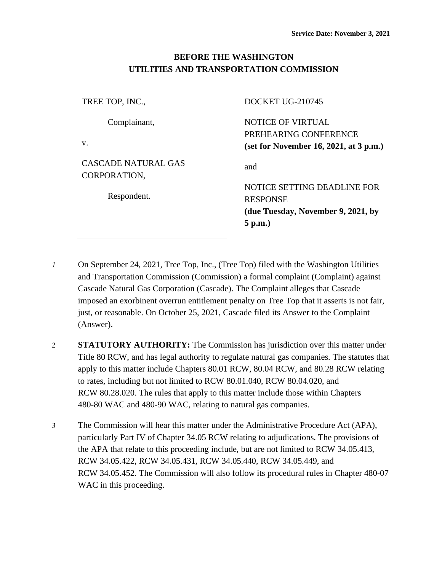# **BEFORE THE WASHINGTON UTILITIES AND TRANSPORTATION COMMISSION**

| TREE TOP, INC.,                            | <b>DOCKET U</b>                     |
|--------------------------------------------|-------------------------------------|
| Complainant,<br>V.                         | <b>NOTICE OF</b><br><b>PREHEARI</b> |
|                                            | (set for Nov                        |
| <b>CASCADE NATURAL GAS</b><br>CORPORATION, | and                                 |
|                                            | <b>NOTICE SE</b>                    |
| Respondent.                                | <b>RESPONSE</b>                     |
|                                            | (due Tuesda                         |

 $G-210745$ 

F **VIRTUAL** NG CONFERENCE **(set for November 16, 2021, at 3 p.m.)**

**ETTING DEADLINE FOR (due Tuesday, November 9, 2021, by 5 p.m.)**

- *1* On September 24, 2021, Tree Top, Inc., (Tree Top) filed with the Washington Utilities and Transportation Commission (Commission) a formal complaint (Complaint) against Cascade Natural Gas Corporation (Cascade). The Complaint alleges that Cascade imposed an exorbinent overrun entitlement penalty on Tree Top that it asserts is not fair, just, or reasonable. On October 25, 2021, Cascade filed its Answer to the Complaint (Answer).
- *2* **STATUTORY AUTHORITY:** The Commission has jurisdiction over this matter under Title 80 RCW, and has legal authority to regulate natural gas companies. The statutes that apply to this matter include Chapters 80.01 RCW, 80.04 RCW, and 80.28 RCW relating to rates, including but not limited to RCW 80.01.040, RCW 80.04.020, and RCW 80.28.020. The rules that apply to this matter include those within Chapters 480-80 WAC and 480-90 WAC, relating to natural gas companies.
- *3* The Commission will hear this matter under the Administrative Procedure Act (APA), particularly Part IV of Chapter 34.05 RCW relating to adjudications. The provisions of the APA that relate to this proceeding include, but are not limited to RCW 34.05.413, RCW 34.05.422, RCW 34.05.431, RCW 34.05.440, RCW 34.05.449, and RCW 34.05.452. The Commission will also follow its procedural rules in Chapter 480-07 WAC in this proceeding.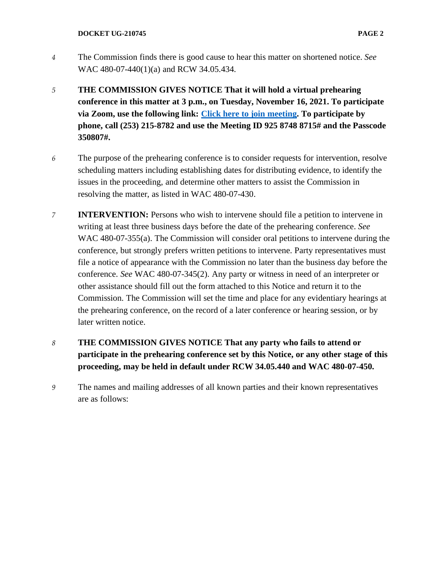- *4* The Commission finds there is good cause to hear this matter on shortened notice. *See*  WAC 480-07-440(1)(a) and RCW 34.05.434.
- *5* **THE COMMISSION GIVES NOTICE That it will hold a virtual prehearing conference in this matter at 3 p.m., on Tuesday, November 16, 2021. To participate via Zoom, use the following link: [Click here to join meeting.](https://utc-wa-gov.zoom.us/j/92587488715?pwd=MThUTmhGUHU1R1ByOVBIb3RnWGpCZz09) To participate by phone, call (253) 215-8782 and use the Meeting ID 925 8748 8715# and the Passcode 350807#.**
- *6* The purpose of the prehearing conference is to consider requests for intervention, resolve scheduling matters including establishing dates for distributing evidence, to identify the issues in the proceeding, and determine other matters to assist the Commission in resolving the matter, as listed in WAC 480-07-430.
- *7* **INTERVENTION:** Persons who wish to intervene should file a petition to intervene in writing at least three business days before the date of the prehearing conference. *See* WAC 480-07-355(a). The Commission will consider oral petitions to intervene during the conference, but strongly prefers written petitions to intervene. Party representatives must file a notice of appearance with the Commission no later than the business day before the conference. *See* WAC 480-07-345(2). Any party or witness in need of an interpreter or other assistance should fill out the form attached to this Notice and return it to the Commission. The Commission will set the time and place for any evidentiary hearings at the prehearing conference, on the record of a later conference or hearing session, or by later written notice.
- *8* **THE COMMISSION GIVES NOTICE That any party who fails to attend or participate in the prehearing conference set by this Notice, or any other stage of this proceeding, may be held in default under RCW 34.05.440 and WAC 480-07-450.**
- *9* The names and mailing addresses of all known parties and their known representatives are as follows: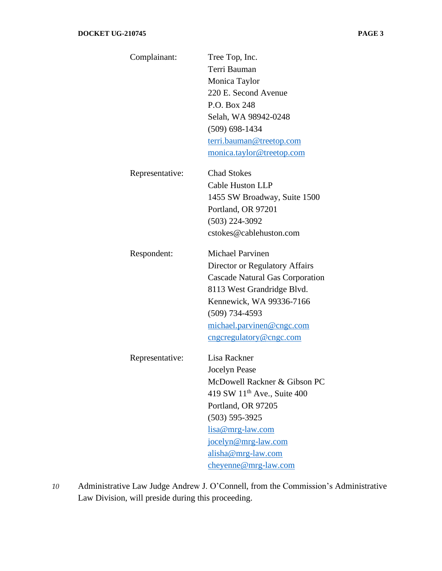| Complainant:    | Tree Top, Inc.                          |
|-----------------|-----------------------------------------|
|                 | Terri Bauman                            |
|                 | Monica Taylor                           |
|                 | 220 E. Second Avenue                    |
|                 | P.O. Box 248                            |
|                 | Selah, WA 98942-0248                    |
|                 | $(509)$ 698-1434                        |
|                 | terri.bauman@treetop.com                |
|                 | monica.taylor@treetop.com               |
| Representative: | <b>Chad Stokes</b>                      |
|                 | Cable Huston LLP                        |
|                 | 1455 SW Broadway, Suite 1500            |
|                 | Portland, OR 97201                      |
|                 | $(503)$ 224-3092                        |
|                 | cstokes@cablehuston.com                 |
| Respondent:     | <b>Michael Parvinen</b>                 |
|                 | Director or Regulatory Affairs          |
|                 | <b>Cascade Natural Gas Corporation</b>  |
|                 | 8113 West Grandridge Blvd.              |
|                 | Kennewick, WA 99336-7166                |
|                 | $(509)$ 734-4593                        |
|                 | michael.parvinen@cngc.com               |
|                 | cngcregulatory@cngc.com                 |
| Representative: | Lisa Rackner                            |
|                 | <b>Jocelyn Pease</b>                    |
|                 | McDowell Rackner & Gibson PC            |
|                 | 419 SW 11 <sup>th</sup> Ave., Suite 400 |
|                 | Portland, OR 97205                      |
|                 | $(503) 595 - 3925$                      |
|                 | lisa@mrg-law.com                        |
|                 | jocelyn@mrg-law.com                     |
|                 | alisha@mrg-law.com                      |
|                 | cheyenne@mrg-law.com                    |

*10* Administrative Law Judge Andrew J. O'Connell, from the Commission's Administrative Law Division, will preside during this proceeding.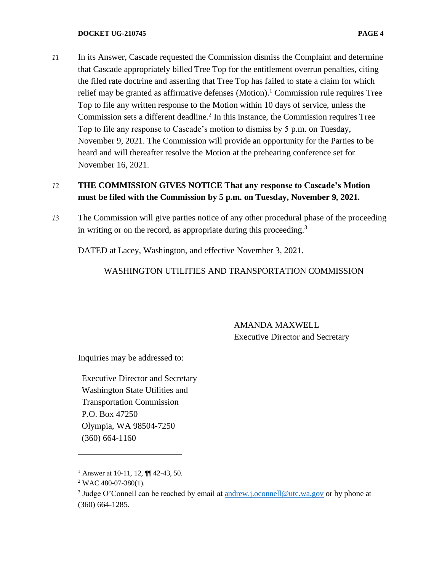#### **DOCKET UG-210745 PAGE 4**

*11* In its Answer, Cascade requested the Commission dismiss the Complaint and determine that Cascade appropriately billed Tree Top for the entitlement overrun penalties, citing the filed rate doctrine and asserting that Tree Top has failed to state a claim for which relief may be granted as affirmative defenses (Motion). <sup>1</sup> Commission rule requires Tree Top to file any written response to the Motion within 10 days of service, unless the Commission sets a different deadline.<sup>2</sup> In this instance, the Commission requires Tree Top to file any response to Cascade's motion to dismiss by 5 p.m. on Tuesday, November 9, 2021. The Commission will provide an opportunity for the Parties to be heard and will thereafter resolve the Motion at the prehearing conference set for November 16, 2021.

## *12* **THE COMMISSION GIVES NOTICE That any response to Cascade's Motion must be filed with the Commission by 5 p.m. on Tuesday, November 9, 2021.**

*13* The Commission will give parties notice of any other procedural phase of the proceeding in writing or on the record, as appropriate during this proceeding.<sup>3</sup>

DATED at Lacey, Washington, and effective November 3, 2021.

### WASHINGTON UTILITIES AND TRANSPORTATION COMMISSION

AMANDA MAXWELL Executive Director and Secretary

Inquiries may be addressed to:

Executive Director and Secretary Washington State Utilities and Transportation Commission P.O. Box 47250 Olympia, WA 98504-7250 (360) 664-1160

<sup>&</sup>lt;sup>1</sup> Answer at 10-11, 12,  $\P$  42-43, 50.

 $2$  WAC 480-07-380(1).

<sup>&</sup>lt;sup>3</sup> Judge O'Connell can be reached by email at **andrew.j.oconnell@utc.wa.gov** or by phone at (360) 664-1285.